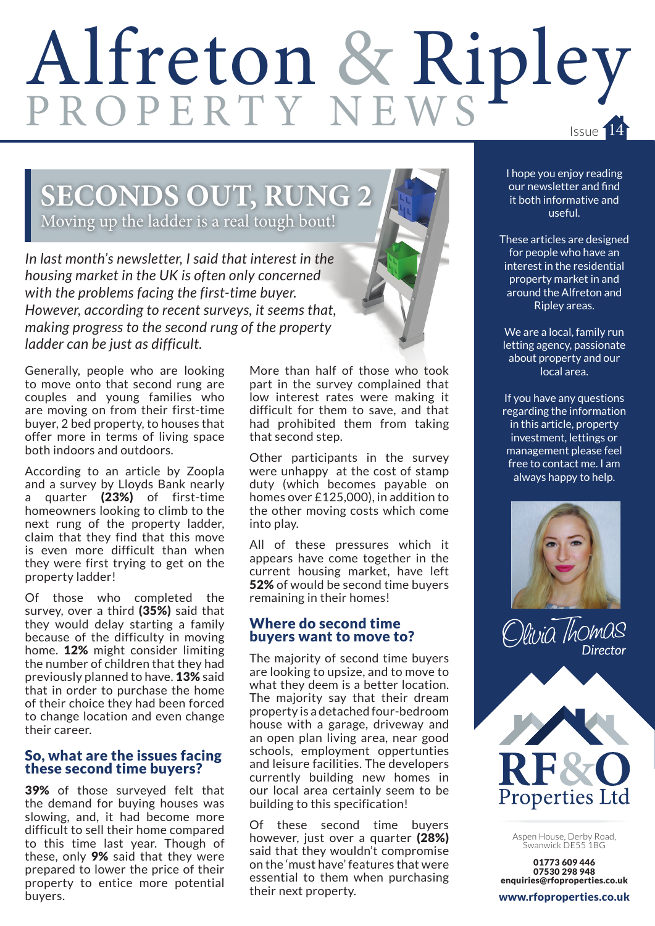# Alfreton & Ripley Issue 14

# **SECONDS OUT, RUNG 2**

Moving up the ladder is a real tough bout!

*In last month's newsletter, I said that interest in the housing market in the UK is often only concerned with the problems facing the first-time buyer. However, according to recent surveys, it seems that, making progress to the second rung of the property ladder can be just as difficult.*

Generally, people who are looking to move onto that second rung are couples and young families who are moving on from their first-time buyer, 2 bed property, to houses that offer more in terms of living space both indoors and outdoors.

According to an article by Zoopla and a survey by Lloyds Bank nearly a quarter (23%) of first-time homeowners looking to climb to the next rung of the property ladder, claim that they find that this move is even more difficult than when they were first trying to get on the property ladder!

Of those who completed the survey, over a third (35%) said that they would delay starting a family because of the difficulty in moving home. 12% might consider limiting the number of children that they had previously planned to have. 13% said that in order to purchase the home of their choice they had been forced to change location and even change their career.

#### So, what are the issues facing these second time buyers?

39% of those surveyed felt that the demand for buying houses was slowing, and, it had become more difficult to sell their home compared to this time last year. Though of these, only 9% said that they were prepared to lower the price of their property to entice more potential buyers.

More than half of those who took part in the survey complained that low interest rates were making it difficult for them to save, and that had prohibited them from taking that second step.

Other participants in the survey were unhappy at the cost of stamp duty (which becomes payable on homes over £125,000), in addition to the other moving costs which come into play.

All of these pressures which it appears have come together in the current housing market, have left 52% of would be second time buvers remaining in their homes!

#### Where do second time buyers want to move to?

The majority of second time buyers are looking to upsize, and to move to what they deem is a better location. The majority say that their dream property is a detached four-bedroom house with a garage, driveway and an open plan living area, near good schools, employment oppertunties and leisure facilities. The developers currently building new homes in our local area certainly seem to be building to this specification!

Of these second time buyers however, just over a quarter (28%) said that they wouldn't compromise on the 'must have' features that were essential to them when purchasing their next property.

I hope you enjoy reading our newsletter and find it both informative and useful.

These articles are designed for people who have an interest in the residential property market in and around the Alfreton and Ripley areas.

We are a local, family run letting agency, passionate about property and our local area.

If you have any questions regarding the information in this article, property investment, lettings or management please feel free to contact me. I am always happy to help.







Aspen House, Derby Road, Swanwick DE55 1BG

01773 609 446 07530 298 948 enquiries@rfoproperties.co.uk

www.rfoproperties.co.uk